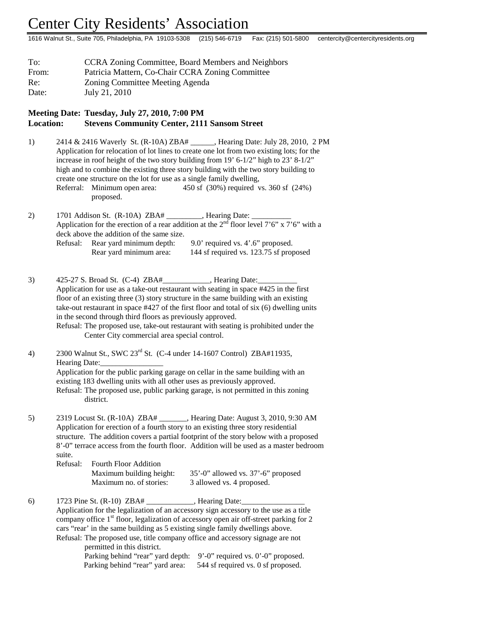## Center City Residents' Association

1616 Walnut St., Suite 705, Philadelphia, PA 19103-5308 (215) 546-6719 Fax: (215) 501-5800 centercity@centercityresidents.org

| To:   | <b>CCRA Zoning Committee, Board Members and Neighbors</b> |  |
|-------|-----------------------------------------------------------|--|
| From: | Patricia Mattern, Co-Chair CCRA Zoning Committee          |  |
| Re:   | Zoning Committee Meeting Agenda                           |  |
| Date: | July 21, 2010                                             |  |

## **Meeting Date: Tuesday, July 27, 2010, 7:00 PM Location: Stevens Community Center, 2111 Sansom Street**

1) 2414 & 2416 Waverly St. (R-10A) ZBA# \_\_\_\_\_\_, Hearing Date: July 28, 2010, 2 PM Application for relocation of lot lines to create one lot from two existing lots; for the increase in roof height of the two story building from 19' 6-1/2" high to 23' 8-1/2" high and to combine the existing three story building with the two story building to create one structure on the lot for use as a single family dwelling, Referral: Minimum open area: 450 sf (30%) required vs. 360 sf (24%) proposed.

2) 1701 Addison St. (R-10A) ZBA# \_\_\_\_\_\_\_\_, Hearing Date: Application for the erection of a rear addition at the  $2<sup>nd</sup>$  floor level 7'6" x 7'6" with a deck above the addition of the same size. Refusal: Rear yard minimum depth: 9.0' required vs. 4'.6" proposed. Rear yard minimum area: 144 sf required vs. 123.75 sf proposed

3) 425-27 S. Broad St. (C-4) ZBA#\_\_\_\_\_\_\_\_\_\_\_, Hearing Date: Application for use as a take-out restaurant with seating in space #425 in the first floor of an existing three (3) story structure in the same building with an existing take-out restaurant in space #427 of the first floor and total of six (6) dwelling units in the second through third floors as previously approved. Refusal: The proposed use, take-out restaurant with seating is prohibited under the Center City commercial area special control.

4) 2300 Walnut St., SWC 23<sup>rd</sup> St. (C-4 under 14-1607 Control) ZBA#11935, Hearing Date: Application for the public parking garage on cellar in the same building with an existing 183 dwelling units with all other uses as previously approved. Refusal: The proposed use, public parking garage, is not permitted in this zoning district.

5) 2319 Locust St. (R-10A) ZBA# \_\_\_\_\_\_\_, Hearing Date: August 3, 2010, 9:30 AM Application for erection of a fourth story to an existing three story residential structure. The addition covers a partial footprint of the story below with a proposed 8'-0" terrace access from the fourth floor. Addition will be used as a master bedroom suite.

| Refusal: \ | <b>Fourth Floor Addition</b> |                                          |
|------------|------------------------------|------------------------------------------|
|            | Maximum building height:     | $35'$ -0" allowed vs. $37'$ -6" proposed |
|            | Maximum no. of stories:      | 3 allowed vs. 4 proposed.                |

6) 1723 Pine St. (R-10) ZBA# \_\_\_\_\_\_\_\_\_\_\_\_, Hearing Date:\_\_\_\_\_\_\_\_\_\_\_\_\_\_\_\_ Application for the legalization of an accessory sign accessory to the use as a title company office  $1<sup>st</sup>$  floor, legalization of accessory open air off-street parking for 2 cars "rear' in the same building as 5 existing single family dwellings above. Refusal: The proposed use, title company office and accessory signage are not permitted in this district. Parking behind "rear" yard depth: 9'-0" required vs. 0'-0" proposed. Parking behind "rear" yard area: 544 sf required vs. 0 sf proposed.